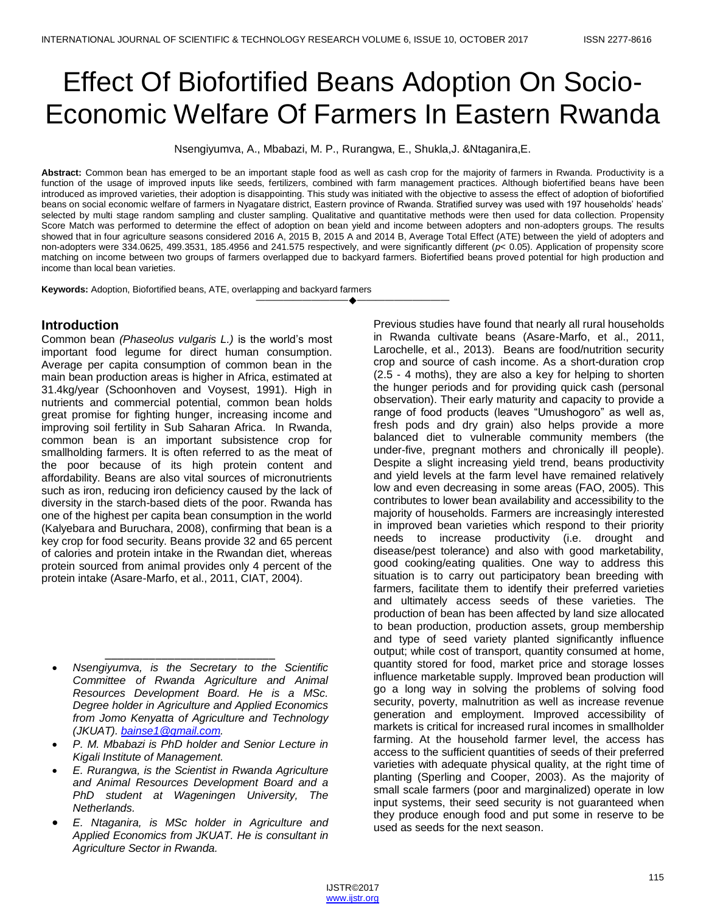# Effect Of Biofortified Beans Adoption On Socio-Economic Welfare Of Farmers In Eastern Rwanda

Nsengiyumva, A., Mbabazi, M. P., Rurangwa, E., Shukla,J. &Ntaganira,E.

**Abstract:** Common bean has emerged to be an important staple food as well as cash crop for the majority of farmers in Rwanda. Productivity is a function of the usage of improved inputs like seeds, fertilizers, combined with farm management practices. Although biofertified beans have been introduced as improved varieties, their adoption is disappointing. This study was initiated with the objective to assess the effect of adoption of biofortified beans on social economic welfare of farmers in Nyagatare district, Eastern province of Rwanda. Stratified survey was used with 197 households' heads' selected by multi stage random sampling and cluster sampling. Qualitative and quantitative methods were then used for data collection. Propensity Score Match was performed to determine the effect of adoption on bean yield and income between adopters and non-adopters groups. The results showed that in four agriculture seasons considered 2016 A, 2015 B, 2015 A and 2014 B, Average Total Effect (ATE) between the yield of adopters and non-adopters were 334.0625, 499.3531, 185.4956 and 241.575 respectively, and were significantly different (*p*< 0.05). Application of propensity score matching on income between two groups of farmers overlapped due to backyard farmers. Biofertified beans proved potential for high production and income than local bean varieties.

————————————————————

**Keywords:** Adoption, Biofortified beans, ATE, overlapping and backyard farmers

# **Introduction**

Common bean *(Phaseolus vulgaris L.)* is the world's most important food legume for direct human consumption. Average per capita consumption of common bean in the main bean production areas is higher in Africa, estimated at 31.4kg/year (Schoonhoven and Voysest, 1991). High in nutrients and commercial potential, common bean holds great promise for fighting hunger, increasing income and improving soil fertility in Sub Saharan Africa. In Rwanda, common bean is an important subsistence crop for smallholding farmers. It is often referred to as the meat of the poor because of its high protein content and affordability. Beans are also vital sources of micronutrients such as iron, reducing iron deficiency caused by the lack of diversity in the starch-based diets of the poor. Rwanda has one of the highest per capita bean consumption in the world (Kalyebara and Buruchara, 2008), confirming that bean is a key crop for food security. Beans provide 32 and 65 percent of calories and protein intake in the Rwandan diet, whereas protein sourced from animal provides only 4 percent of the protein intake (Asare-Marfo, et al., 2011, CIAT, 2004).

\_\_\_\_\_\_\_\_\_\_\_\_\_\_\_\_\_\_\_\_\_\_\_\_\_\_\_ *Nsengiyumva, is the Secretary to the Scientific Committee of Rwanda Agriculture and Animal Resources Development Board. He is a MSc. Degree holder in Agriculture and Applied Economics from Jomo Kenyatta of Agriculture and Technology (JKUAT). [bainse1@gmail.com.](mailto:bainse1@gmail.com)*

- *P. M. Mbabazi is PhD holder and Senior Lecture in Kigali Institute of Management.*
- *E. Rurangwa, is the Scientist in Rwanda Agriculture and Animal Resources Development Board and a PhD student at Wageningen University, The Netherlands.*
- *E. Ntaganira, is MSc holder in Agriculture and Applied Economics from JKUAT. He is consultant in Agriculture Sector in Rwanda.*

Previous studies have found that nearly all rural households in Rwanda cultivate beans (Asare-Marfo, et al., 2011, Larochelle, et al., 2013). Beans are food/nutrition security crop and source of cash income. As a short-duration crop (2.5 - 4 moths), they are also a key for helping to shorten the hunger periods and for providing quick cash (personal observation). Their early maturity and capacity to provide a range of food products (leaves "Umushogoro" as well as, fresh pods and dry grain) also helps provide a more balanced diet to vulnerable community members (the under-five, pregnant mothers and chronically ill people). Despite a slight increasing yield trend, beans productivity and yield levels at the farm level have remained relatively low and even decreasing in some areas (FAO, 2005). This contributes to lower bean availability and accessibility to the majority of households. Farmers are increasingly interested in improved bean varieties which respond to their priority needs to increase productivity (i.e. drought and disease/pest tolerance) and also with good marketability, good cooking/eating qualities. One way to address this situation is to carry out participatory bean breeding with farmers, facilitate them to identify their preferred varieties and ultimately access seeds of these varieties. The production of bean has been affected by land size allocated to bean production, production assets, group membership and type of seed variety planted significantly influence output; while cost of transport, quantity consumed at home, quantity stored for food, market price and storage losses influence marketable supply. Improved bean production will go a long way in solving the problems of solving food security, poverty, malnutrition as well as increase revenue generation and employment. Improved accessibility of markets is critical for increased rural incomes in smallholder farming. At the household farmer level, the access has access to the sufficient quantities of seeds of their preferred varieties with adequate physical quality, at the right time of planting (Sperling and Cooper, 2003). As the majority of small scale farmers (poor and marginalized) operate in low input systems, their seed security is not guaranteed when they produce enough food and put some in reserve to be used as seeds for the next season.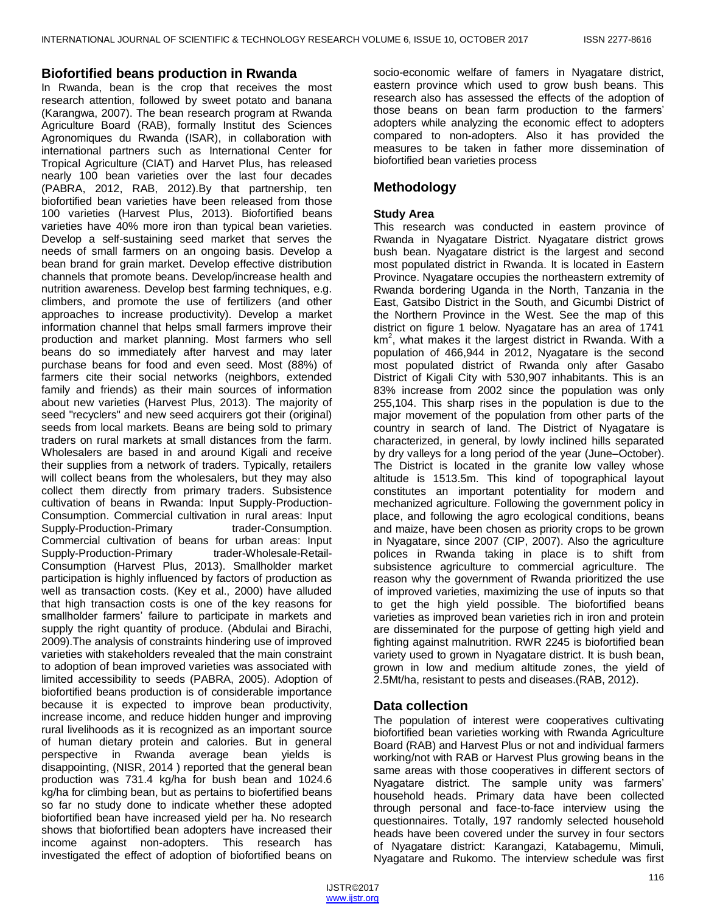## **Biofortified beans production in Rwanda**

In Rwanda, bean is the crop that receives the most research attention, followed by sweet potato and banana (Karangwa, 2007). The bean research program at Rwanda Agriculture Board (RAB), formally Institut des Sciences Agronomiques du Rwanda (ISAR), in collaboration with international partners such as International Center for Tropical Agriculture (CIAT) and Harvet Plus, has released nearly 100 bean varieties over the last four decades (PABRA, 2012, RAB, 2012).By that partnership, ten biofortified bean varieties have been released from those 100 varieties (Harvest Plus, 2013). Biofortified beans varieties have 40% more iron than typical bean varieties. Develop a self-sustaining seed market that serves the needs of small farmers on an ongoing basis. Develop a bean brand for grain market. Develop effective distribution channels that promote beans. Develop/increase health and nutrition awareness. Develop best farming techniques, e.g. climbers, and promote the use of fertilizers (and other approaches to increase productivity). Develop a market information channel that helps small farmers improve their production and market planning. Most farmers who sell beans do so immediately after harvest and may later purchase beans for food and even seed. Most (88%) of farmers cite their social networks (neighbors, extended family and friends) as their main sources of information about new varieties (Harvest Plus, 2013). The majority of seed "recyclers" and new seed acquirers got their (original) seeds from local markets. Beans are being sold to primary traders on rural markets at small distances from the farm. Wholesalers are based in and around Kigali and receive their supplies from a network of traders. Typically, retailers will collect beans from the wholesalers, but they may also collect them directly from primary traders. Subsistence cultivation of beans in Rwanda: Input Supply-Production-Consumption. Commercial cultivation in rural areas: Input Supply-Production-Primary trader-Consumption. Commercial cultivation of beans for urban areas: Input Supply-Production-Primary trader-Wholesale-Retail-Consumption (Harvest Plus, 2013). Smallholder market participation is highly influenced by factors of production as well as transaction costs. (Key et al., 2000) have alluded that high transaction costs is one of the key reasons for smallholder farmers' failure to participate in markets and supply the right quantity of produce. (Abdulai and Birachi, 2009).The analysis of constraints hindering use of improved varieties with stakeholders revealed that the main constraint to adoption of bean improved varieties was associated with limited accessibility to seeds (PABRA, 2005). Adoption of biofortified beans production is of considerable importance because it is expected to improve bean productivity, increase income, and reduce hidden hunger and improving rural livelihoods as it is recognized as an important source of human dietary protein and calories. But in general perspective in Rwanda average bean yields is disappointing, (NISR, 2014 ) reported that the general bean production was 731.4 kg/ha for bush bean and 1024.6 kg/ha for climbing bean, but as pertains to biofertified beans so far no study done to indicate whether these adopted biofortified bean have increased yield per ha. No research shows that biofortified bean adopters have increased their income against non-adopters. This research has investigated the effect of adoption of biofortified beans on

socio-economic welfare of famers in Nyagatare district, eastern province which used to grow bush beans. This research also has assessed the effects of the adoption of those beans on bean farm production to the farmers' adopters while analyzing the economic effect to adopters compared to non-adopters. Also it has provided the measures to be taken in father more dissemination of biofortified bean varieties process

# **Methodology**

# **Study Area**

This research was conducted in eastern province of Rwanda in Nyagatare District. Nyagatare district grows bush bean. Nyagatare district is the largest and second most populated district in Rwanda. It is located in Eastern Province. Nyagatare occupies the northeastern extremity of Rwanda bordering Uganda in the North, Tanzania in the East, Gatsibo District in the South, and Gicumbi District of the Northern Province in the West. See the map of this district on figure 1 below. Nyagatare has an area of 1741 km<sup>2</sup>, what makes it the largest district in Rwanda. With a population of 466,944 in 2012, Nyagatare is the second most populated district of Rwanda only after Gasabo District of Kigali City with 530,907 inhabitants. This is an 83% increase from 2002 since the population was only 255,104. This sharp rises in the population is due to the major movement of the population from other parts of the country in search of land. The District of Nyagatare is characterized, in general, by lowly inclined hills separated by dry valleys for a long period of the year (June–October). The District is located in the granite low valley whose altitude is 1513.5m. This kind of topographical layout constitutes an important potentiality for modern and mechanized agriculture. Following the government policy in place, and following the agro ecological conditions, beans and maize, have been chosen as priority crops to be grown in Nyagatare, since 2007 (CIP, 2007). Also the agriculture polices in Rwanda taking in place is to shift from subsistence agriculture to commercial agriculture. The reason why the government of Rwanda prioritized the use of improved varieties, maximizing the use of inputs so that to get the high yield possible. The biofortified beans varieties as improved bean varieties rich in iron and protein are disseminated for the purpose of getting high yield and fighting against malnutrition. RWR 2245 is biofortified bean variety used to grown in Nyagatare district. It is bush bean, grown in low and medium altitude zones, the yield of 2.5Mt/ha, resistant to pests and diseases.(RAB, 2012).

# **Data collection**

The population of interest were cooperatives cultivating biofortified bean varieties working with Rwanda Agriculture Board (RAB) and Harvest Plus or not and individual farmers working/not with RAB or Harvest Plus growing beans in the same areas with those cooperatives in different sectors of Nyagatare district. The sample unity was farmers' household heads. Primary data have been collected through personal and face-to-face interview using the questionnaires. Totally, 197 randomly selected household heads have been covered under the survey in four sectors of Nyagatare district: Karangazi, Katabagemu, Mimuli, Nyagatare and Rukomo. The interview schedule was first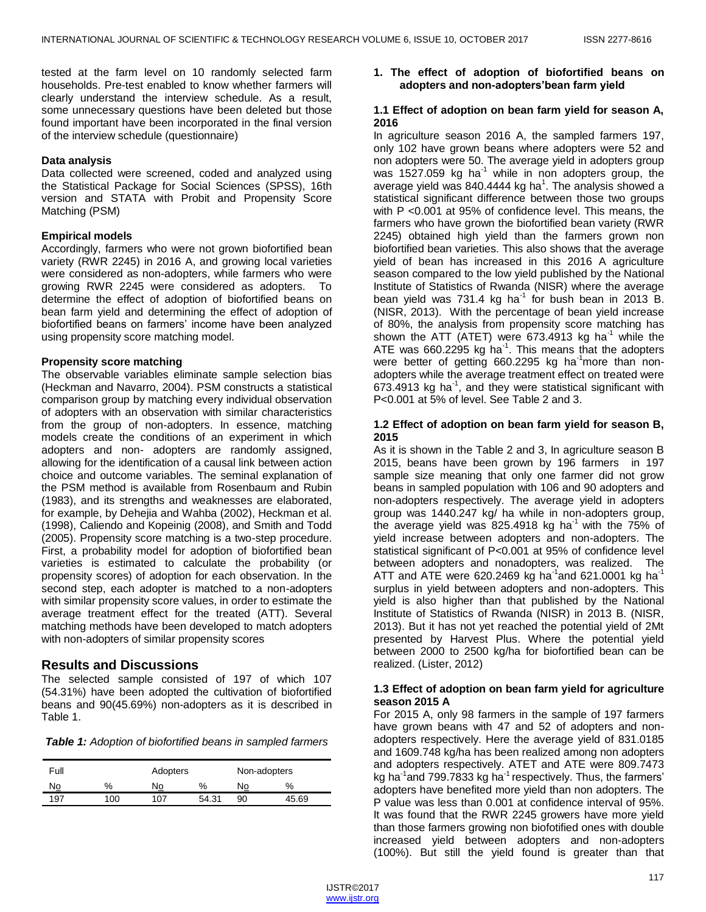tested at the farm level on 10 randomly selected farm households. Pre-test enabled to know whether farmers will clearly understand the interview schedule. As a result, some unnecessary questions have been deleted but those found important have been incorporated in the final version of the interview schedule (questionnaire)

#### **Data analysis**

Data collected were screened, coded and analyzed using the Statistical Package for Social Sciences (SPSS), 16th version and STATA with Probit and Propensity Score Matching (PSM)

#### **Empirical models**

Accordingly, farmers who were not grown biofortified bean variety (RWR 2245) in 2016 A, and growing local varieties were considered as non-adopters, while farmers who were growing RWR 2245 were considered as adopters. To determine the effect of adoption of biofortified beans on bean farm yield and determining the effect of adoption of biofortified beans on farmers' income have been analyzed using propensity score matching model.

#### **Propensity score matching**

The observable variables eliminate sample selection bias (Heckman and Navarro, 2004). PSM constructs a statistical comparison group by matching every individual observation of adopters with an observation with similar characteristics from the group of non-adopters. In essence, matching models create the conditions of an experiment in which adopters and non- adopters are randomly assigned, allowing for the identification of a causal link between action choice and outcome variables. The seminal explanation of the PSM method is available from Rosenbaum and Rubin (1983), and its strengths and weaknesses are elaborated, for example, by Dehejia and Wahba (2002), Heckman et al. (1998), Caliendo and Kopeinig (2008), and Smith and Todd (2005). Propensity score matching is a two-step procedure. First, a probability model for adoption of biofortified bean varieties is estimated to calculate the probability (or propensity scores) of adoption for each observation. In the second step, each adopter is matched to a non-adopters with similar propensity score values, in order to estimate the average treatment effect for the treated (ATT). Several matching methods have been developed to match adopters with non-adopters of similar propensity scores

## **Results and Discussions**

The selected sample consisted of 197 of which 107 (54.31%) have been adopted the cultivation of biofortified beans and 90(45.69%) non-adopters as it is described in Table 1.

| <b>Table 1:</b> Adoption of biofortified beans in sampled farmers |
|-------------------------------------------------------------------|
|-------------------------------------------------------------------|

| Full      |     | Adopters   |       |    | Non-adopters |  |
|-----------|-----|------------|-------|----|--------------|--|
| <u>No</u> | %   | N <u>o</u> | %     | No | %            |  |
| 197       | 100 | 107        | 54.31 | 90 | 45.69        |  |

#### **1. The effect of adoption of biofortified beans on adopters and non-adopters'bean farm yield**

#### **1.1 Effect of adoption on bean farm yield for season A, 2016**

In agriculture season 2016 A, the sampled farmers 197, only 102 have grown beans where adopters were 52 and non adopters were 50. The average yield in adopters group was 1527.059 kg ha $^{-1}$  while in non adopters group, the average yield was 840.4444 kg ha $^1$ . The analysis showed a statistical significant difference between those two groups with P <0.001 at 95% of confidence level. This means, the farmers who have grown the biofortified bean variety (RWR 2245) obtained high yield than the farmers grown non biofortified bean varieties. This also shows that the average yield of bean has increased in this 2016 A agriculture season compared to the low yield published by the National Institute of Statistics of Rwanda (NISR) where the average bean yield was 731.4 kg ha<sup>-1</sup> for bush bean in 2013 B. (NISR, 2013). With the percentage of bean yield increase of 80%, the analysis from propensity score matching has shown the ATT (ATET) were 673.4913 kg ha<sup>-1</sup> while the ATE was 660.2295 kg ha<sup>-1</sup>. This means that the adopters were better of getting  $660.2295$  kg ha<sup>-1</sup>more than nonadopters while the average treatment effect on treated were 673.4913 kg ha $^{-1}$ , and they were statistical significant with P<0.001 at 5% of level. See Table 2 and 3.

#### **1.2 Effect of adoption on bean farm yield for season B, 2015**

As it is shown in the Table 2 and 3, In agriculture season B 2015, beans have been grown by 196 farmers in 197 sample size meaning that only one farmer did not grow beans in sampled population with 106 and 90 adopters and non-adopters respectively. The average yield in adopters group was 1440.247 kg/ ha while in non-adopters group, the average yield was 825.4918 kg ha<sup>-1</sup> with the 75% of yield increase between adopters and non-adopters. The statistical significant of P<0.001 at 95% of confidence level between adopters and nonadopters, was realized. The ATT and ATE were 620.2469 kg ha<sup>-1</sup>and 621.0001 kg ha<sup>-1</sup> surplus in yield between adopters and non-adopters. This yield is also higher than that published by the National Institute of Statistics of Rwanda (NISR) in 2013 B. (NISR, 2013). But it has not yet reached the potential yield of 2Mt presented by Harvest Plus. Where the potential yield between 2000 to 2500 kg/ha for biofortified bean can be realized. (Lister, 2012)

#### **1.3 Effect of adoption on bean farm yield for agriculture season 2015 A**

For 2015 A, only 98 farmers in the sample of 197 farmers have grown beans with 47 and 52 of adopters and nonadopters respectively. Here the average yield of 831.0185 and 1609.748 kg/ha has been realized among non adopters and adopters respectively. ATET and ATE were 809.7473 kg ha<sup>-1</sup>and 799.7833 kg ha<sup>-1</sup> respectively. Thus, the farmers' adopters have benefited more yield than non adopters. The P value was less than 0.001 at confidence interval of 95%. It was found that the RWR 2245 growers have more yield than those farmers growing non biofotified ones with double increased yield between adopters and non-adopters (100%). But still the yield found is greater than that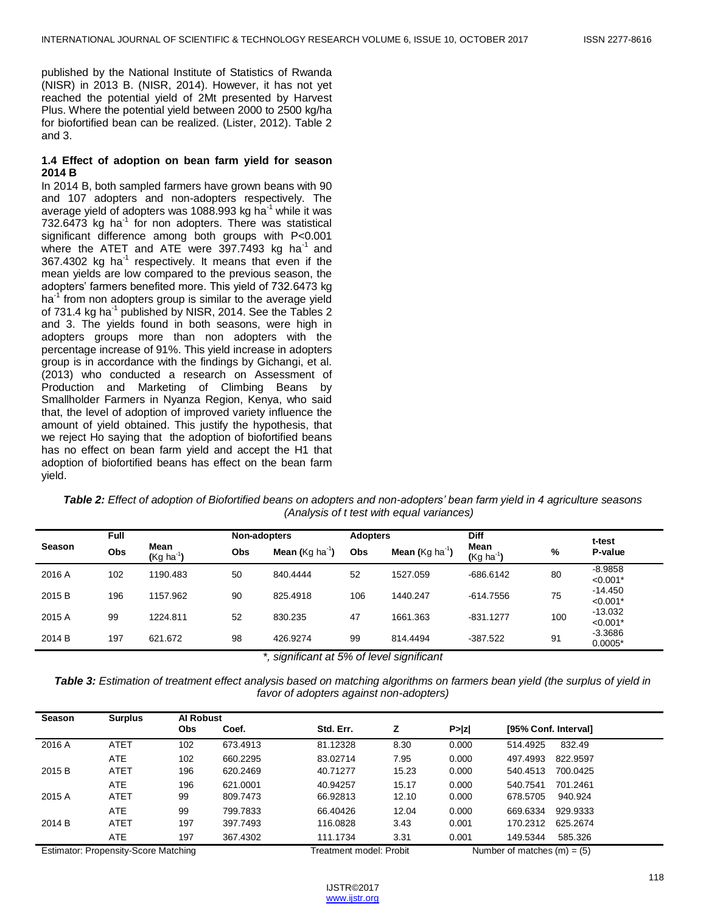published by the National Institute of Statistics of Rwanda (NISR) in 2013 B. (NISR, 2014). However, it has not yet reached the potential yield of 2Mt presented by Harvest Plus. Where the potential yield between 2000 to 2500 kg/ha for biofortified bean can be realized. (Lister, 2012). Table 2 and 3.

#### **1.4 Effect of adoption on bean farm yield for season 2014 B**

In 2014 B, both sampled farmers have grown beans with 90 and 107 adopters and non-adopters respectively. The average yield of adopters was 1088.993 kg ha<sup>-1</sup> while it was  $732.6473$  kg ha<sup>-1</sup> for non adopters. There was statistical significant difference among both groups with P<0.001 where the ATET and ATE were  $397.7493$  kg ha<sup>-1</sup> and  $367.4302$  kg ha<sup>-1</sup> respectively. It means that even if the mean yields are low compared to the previous season, the adopters' farmers benefited more. This yield of 732.6473 kg ha<sup>-1</sup> from non adopters group is similar to the average yield of 731.4 kg ha<sup>-1</sup> published by NISR, 2014. See the Tables 2 and 3. The yields found in both seasons, were high in adopters groups more than non adopters with the percentage increase of 91%. This yield increase in adopters group is in accordance with the findings by Gichangi, et al. (2013) who conducted a research on Assessment of Production and Marketing of Climbing Beans by Smallholder Farmers in Nyanza Region, Kenya, who said that, the level of adoption of improved variety influence the amount of yield obtained. This justify the hypothesis, that we reject Ho saying that the adoption of biofortified beans has no effect on bean farm yield and accept the H1 that adoption of biofortified beans has effect on the bean farm yield.

*Table 2: Effect of adoption of Biofortified beans on adopters and non-adopters' bean farm yield in 4 agriculture seasons (Analysis of t test with equal variances)*

| Season | Full | Mean<br>$(Kg ha^{-1})$ |            | Non-adopters                       |            | <b>Adopters</b>                       | <b>Diff</b>            |     | t-test                  |
|--------|------|------------------------|------------|------------------------------------|------------|---------------------------------------|------------------------|-----|-------------------------|
|        | Obs  |                        | <b>Obs</b> | <b>Mean</b> (Kg ha <sup>-1</sup> ) | <b>Obs</b> | <b>Mean (</b> $Kg$ ha <sup>-1</sup> ) | Mean<br>$(Kg ha^{-1})$ | %   | P-value                 |
| 2016 A | 102  | 1190.483               | 50         | 840.4444                           | 52         | 1527.059                              | $-686.6142$            | 80  | $-8.9858$<br>$< 0.001*$ |
| 2015 B | 196  | 1157.962               | 90         | 825.4918                           | 106        | 1440.247                              | $-614.7556$            | 75  | $-14.450$<br>$< 0.001*$ |
| 2015 A | 99   | 1224.811               | 52         | 830.235                            | 47         | 1661.363                              | $-831.1277$            | 100 | $-13.032$<br>$< 0.001*$ |
| 2014 B | 197  | 621.672                | 98         | 426.9274                           | 99         | 814.4494                              | $-387.522$             | 91  | $-3.3686$<br>$0.0005*$  |

*\*, significant at 5% of level significant*

*Table 3: Estimation of treatment effect analysis based on matching algorithms on farmers bean yield (the surplus of yield in favor of adopters against non-adopters)*

| Season                               | <b>Surplus</b> | <b>Al Robust</b> |                         |           |       |                               |                      |          |  |
|--------------------------------------|----------------|------------------|-------------------------|-----------|-------|-------------------------------|----------------------|----------|--|
|                                      |                | <b>Obs</b>       | Coef.                   | Std. Err. | z     | P >  z                        | [95% Conf. Interval] |          |  |
| 2016 A                               | <b>ATET</b>    | 102              | 673.4913                | 81.12328  | 8.30  | 0.000                         | 514.4925             | 832.49   |  |
|                                      | ATE            | 102              | 660.2295                | 83.02714  | 7.95  | 0.000                         | 497.4993             | 822.9597 |  |
| 2015 B                               | <b>ATET</b>    | 196              | 620.2469                | 40.71277  | 15.23 | 0.000                         | 540.4513             | 700.0425 |  |
|                                      | ATE            | 196              | 621.0001                | 40.94257  | 15.17 | 0.000                         | 540.7541             | 701.2461 |  |
| 2015 A                               | <b>ATET</b>    | 99               | 809.7473                | 66.92813  | 12.10 | 0.000                         | 678,5705             | 940.924  |  |
|                                      | ATE            | 99               | 799.7833                | 66.40426  | 12.04 | 0.000                         | 669.6334             | 929.9333 |  |
| 2014 B                               | ATET           | 197              | 397.7493                | 116.0828  | 3.43  | 0.001                         | 170.2312             | 625.2674 |  |
|                                      | ATE            | 197              | 367.4302                | 111.1734  | 3.31  | 0.001                         | 149.5344             | 585.326  |  |
| Estimator: Propensity-Score Matching |                |                  | Treatment model: Probit |           |       | Number of matches $(m) = (5)$ |                      |          |  |

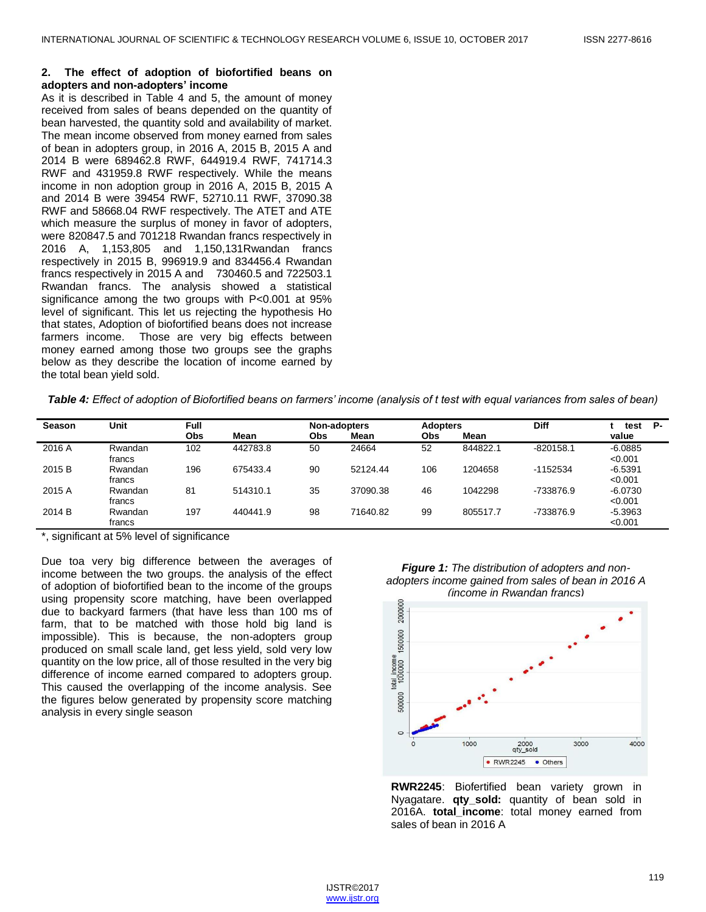#### **2. The effect of adoption of biofortified beans on adopters and non-adopters' income**

As it is described in Table 4 and 5, the amount of money received from sales of beans depended on the quantity of bean harvested, the quantity sold and availability of market. The mean income observed from money earned from sales of bean in adopters group, in 2016 A, 2015 B, 2015 A and 2014 B were 689462.8 RWF, 644919.4 RWF, 741714.3 RWF and 431959.8 RWF respectively. While the means income in non adoption group in 2016 A, 2015 B, 2015 A and 2014 B were 39454 RWF, 52710.11 RWF, 37090.38 RWF and 58668.04 RWF respectively. The ATET and ATE which measure the surplus of money in favor of adopters, were 820847.5 and 701218 Rwandan francs respectively in 2016 A, 1,153,805 and 1,150,131Rwandan francs respectively in 2015 B, 996919.9 and 834456.4 Rwandan francs respectively in 2015 A and 730460.5 and 722503.1 Rwandan francs. The analysis showed a statistical significance among the two groups with P<0.001 at 95% level of significant. This let us rejecting the hypothesis Ho that states, Adoption of biofortified beans does not increase farmers income. Those are very big effects between money earned among those two groups see the graphs below as they describe the location of income earned by the total bean yield sold.

*Table 4: Effect of adoption of Biofortified beans on farmers' income (analysis of t test with equal variances from sales of bean)*

| <b>Season</b> | Unit              | Full |          |            | Non-adopters |     | <b>Adopters</b> | <b>Diff</b> | Р-<br>test           |
|---------------|-------------------|------|----------|------------|--------------|-----|-----------------|-------------|----------------------|
|               |                   | Obs  | Mean     | <b>Obs</b> | Mean         | Obs | Mean            |             | value                |
| 2016 A        | Rwandan<br>francs | 102  | 442783.8 | 50         | 24664        | 52  | 844822.1        | $-820158.1$ | $-6.0885$<br>< 0.001 |
| 2015 B        | Rwandan<br>francs | 196  | 675433.4 | 90         | 52124.44     | 106 | 1204658         | $-1152534$  | $-6.5391$<br>< 0.001 |
| 2015 A        | Rwandan<br>francs | 81   | 514310.1 | 35         | 37090.38     | 46  | 1042298         | -733876.9   | $-6.0730$<br>< 0.001 |
| 2014 B        | Rwandan<br>francs | 197  | 440441.9 | 98         | 71640.82     | 99  | 805517.7        | -733876.9   | $-5.3963$<br>< 0.001 |

\*, significant at 5% level of significance

Due toa very big difference between the averages of income between the two groups. the analysis of the effect of adoption of biofortified bean to the income of the groups using propensity score matching, have been overlapped due to backyard farmers (that have less than 100 ms of farm, that to be matched with those hold big land is impossible). This is because, the non-adopters group produced on small scale land, get less yield, sold very low quantity on the low price, all of those resulted in the very big difference of income earned compared to adopters group. This caused the overlapping of the income analysis. See the figures below generated by propensity score matching analysis in every single season

*Figure 1: The distribution of adopters and nonadopters income gained from sales of bean in 2016 A (income in Rwandan francs)*



**RWR2245**: Biofertified bean variety grown in Nyagatare. **qty\_sold:** quantity of bean sold in 2016A. **total\_income**: total money earned from sales of bean in 2016 A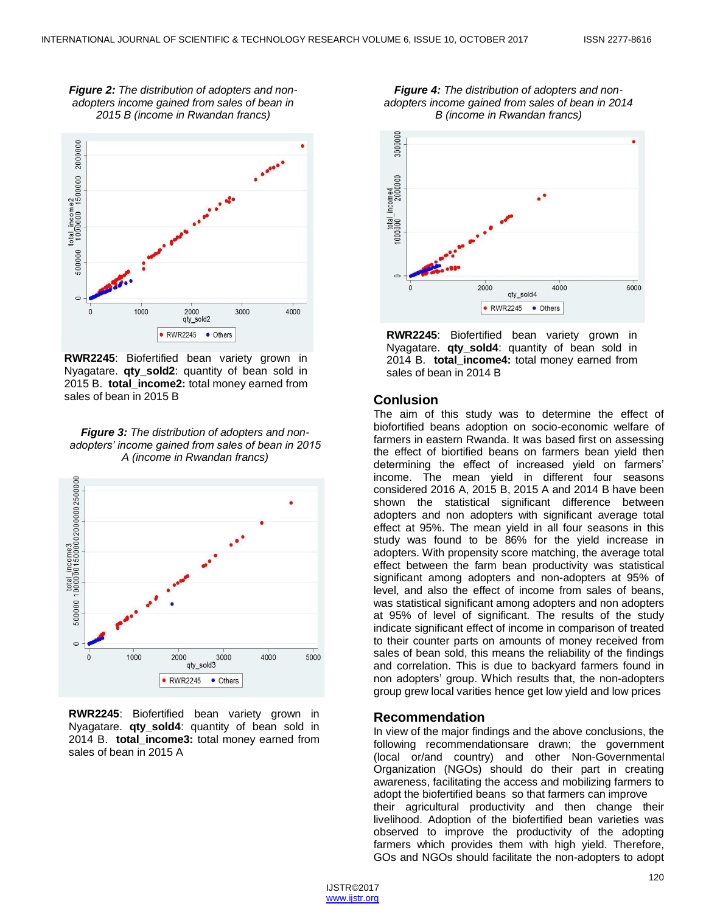*Figure 2: The distribution of adopters and nonadopters income gained from sales of bean in 2015 B (income in Rwandan francs)*



**RWR2245**: Biofertified bean variety grown in Nyagatare. **qty sold2**: quantity of bean sold in 2015 B. **total\_income2:** total money earned from sales of bean in 2015 B

#### *Figure 3: The distribution of adopters and nonadopters' income gained from sales of bean in 2015 A (income in Rwandan francs)*



**RWR2245**: Biofertified bean variety grown in Nyagatare. **qty\_sold4**: quantity of bean sold in 2014 B. **total\_income3:** total money earned from sales of bean in 2015 A





**RWR2245**: Biofertified bean variety grown in Nyagatare. **qty\_sold4**: quantity of bean sold in 2014 B. **total\_income4:** total money earned from sales of bean in 2014 B

## **Conlusion**

The aim of this study was to determine the effect of biofortified beans adoption on socio-economic welfare of farmers in eastern Rwanda. It was based first on assessing the effect of biortified beans on farmers bean yield then determining the effect of increased yield on farmers' income. The mean yield in different four seasons considered 2016 A, 2015 B, 2015 A and 2014 B have been shown the statistical significant difference between adopters and non adopters with significant average total effect at 95%. The mean yield in all four seasons in this study was found to be 86% for the yield increase in adopters. With propensity score matching, the average total effect between the farm bean productivity was statistical significant among adopters and non-adopters at 95% of level, and also the effect of income from sales of beans, was statistical significant among adopters and non adopters at 95% of level of significant. The results of the study indicate significant effect of income in comparison of treated to their counter parts on amounts of money received from sales of bean sold, this means the reliability of the findings and correlation. This is due to backyard farmers found in non adopters' group. Which results that, the non-adopters group grew local varities hence get low yield and low prices

## **Recommendation**

In view of the major findings and the above conclusions, the following recommendationsare drawn; the government (local or/and country) and other Non-Governmental Organization (NGOs) should do their part in creating awareness, facilitating the access and mobilizing farmers to adopt the biofertified beans so that farmers can improve

their agricultural productivity and then change their livelihood. Adoption of the biofertified bean varieties was observed to improve the productivity of the adopting farmers which provides them with high yield. Therefore, GOs and NGOs should facilitate the non-adopters to adopt